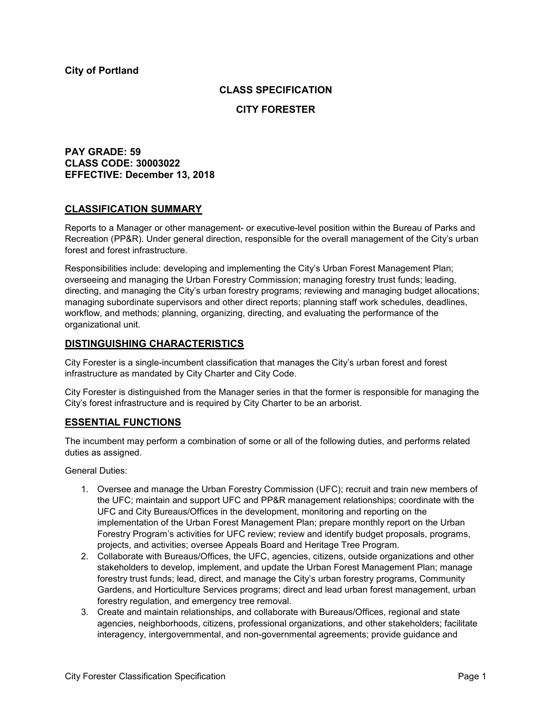# **CLASS SPECIFICATION**

## **CITY FORESTER**

# **PAY GRADE: 59 CLASS CODE: 30003022 EFFECTIVE: December 13, 2018**

## **CLASSIFICATION SUMMARY**

Reports to a Manager or other management- or executive-level position within the Bureau of Parks and Recreation (PP&R). Under general direction, responsible for the overall management of the City's urban forest and forest infrastructure.

Responsibilities include: developing and implementing the City's Urban Forest Management Plan; overseeing and managing the Urban Forestry Commission; managing forestry trust funds; leading, directing, and managing the City's urban forestry programs; reviewing and managing budget allocations; managing subordinate supervisors and other direct reports; planning staff work schedules, deadlines, workflow, and methods; planning, organizing, directing, and evaluating the performance of the organizational unit.

# **DISTINGUISHING CHARACTERISTICS**

City Forester is a single-incumbent classification that manages the City's urban forest and forest infrastructure as mandated by City Charter and City Code.

City Forester is distinguished from the Manager series in that the former is responsible for managing the City's forest infrastructure and is required by City Charter to be an arborist.

## **ESSENTIAL FUNCTIONS**

The incumbent may perform a combination of some or all of the following duties, and performs related duties as assigned.

General Duties:

- 1. Oversee and manage the Urban Forestry Commission (UFC); recruit and train new members of the UFC; maintain and support UFC and PP&R management relationships; coordinate with the UFC and City Bureaus/Offices in the development, monitoring and reporting on the implementation of the Urban Forest Management Plan; prepare monthly report on the Urban Forestry Program's activities for UFC review; review and identify budget proposals, programs, projects, and activities; oversee Appeals Board and Heritage Tree Program.
- 2. Collaborate with Bureaus/Offices, the UFC, agencies, citizens, outside organizations and other stakeholders to develop, implement, and update the Urban Forest Management Plan; manage forestry trust funds; lead, direct, and manage the City's urban forestry programs, Community Gardens, and Horticulture Services programs; direct and lead urban forest management, urban forestry regulation, and emergency tree removal.
- 3. Create and maintain relationships, and collaborate with Bureaus/Offices, regional and state agencies, neighborhoods, citizens, professional organizations, and other stakeholders; facilitate interagency, intergovernmental, and non-governmental agreements; provide guidance and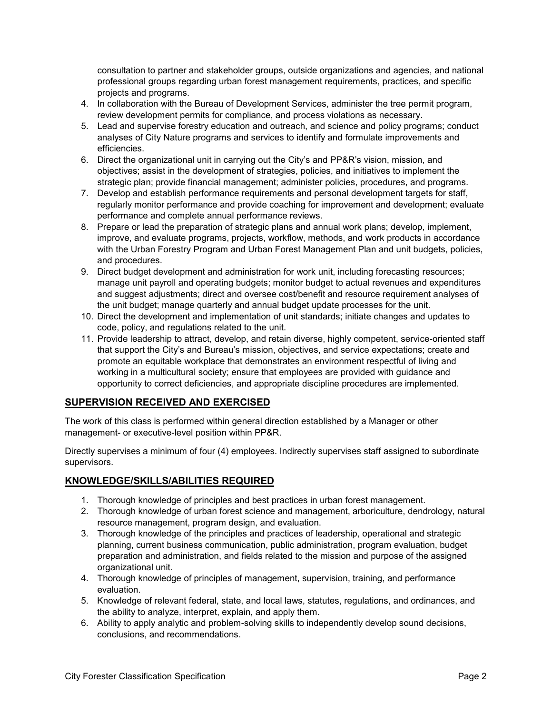consultation to partner and stakeholder groups, outside organizations and agencies, and national professional groups regarding urban forest management requirements, practices, and specific projects and programs.

- 4. In collaboration with the Bureau of Development Services, administer the tree permit program, review development permits for compliance, and process violations as necessary.
- 5. Lead and supervise forestry education and outreach, and science and policy programs; conduct analyses of City Nature programs and services to identify and formulate improvements and efficiencies.
- 6. Direct the organizational unit in carrying out the City's and PP&R's vision, mission, and objectives; assist in the development of strategies, policies, and initiatives to implement the strategic plan; provide financial management; administer policies, procedures, and programs.
- 7. Develop and establish performance requirements and personal development targets for staff, regularly monitor performance and provide coaching for improvement and development; evaluate performance and complete annual performance reviews.
- 8. Prepare or lead the preparation of strategic plans and annual work plans; develop, implement, improve, and evaluate programs, projects, workflow, methods, and work products in accordance with the Urban Forestry Program and Urban Forest Management Plan and unit budgets, policies, and procedures.
- 9. Direct budget development and administration for work unit, including forecasting resources; manage unit payroll and operating budgets; monitor budget to actual revenues and expenditures and suggest adjustments; direct and oversee cost/benefit and resource requirement analyses of the unit budget; manage quarterly and annual budget update processes for the unit.
- 10. Direct the development and implementation of unit standards; initiate changes and updates to code, policy, and regulations related to the unit.
- 11. Provide leadership to attract, develop, and retain diverse, highly competent, service-oriented staff that support the City's and Bureau's mission, objectives, and service expectations; create and promote an equitable workplace that demonstrates an environment respectful of living and working in a multicultural society; ensure that employees are provided with guidance and opportunity to correct deficiencies, and appropriate discipline procedures are implemented.

# **SUPERVISION RECEIVED AND EXERCISED**

The work of this class is performed within general direction established by a Manager or other management- or executive-level position within PP&R.

Directly supervises a minimum of four (4) employees. Indirectly supervises staff assigned to subordinate supervisors.

# **KNOWLEDGE/SKILLS/ABILITIES REQUIRED**

- 1. Thorough knowledge of principles and best practices in urban forest management.
- 2. Thorough knowledge of urban forest science and management, arboriculture, dendrology, natural resource management, program design, and evaluation.
- 3. Thorough knowledge of the principles and practices of leadership, operational and strategic planning, current business communication, public administration, program evaluation, budget preparation and administration, and fields related to the mission and purpose of the assigned organizational unit.
- 4. Thorough knowledge of principles of management, supervision, training, and performance evaluation.
- 5. Knowledge of relevant federal, state, and local laws, statutes, regulations, and ordinances, and the ability to analyze, interpret, explain, and apply them.
- 6. Ability to apply analytic and problem-solving skills to independently develop sound decisions, conclusions, and recommendations.